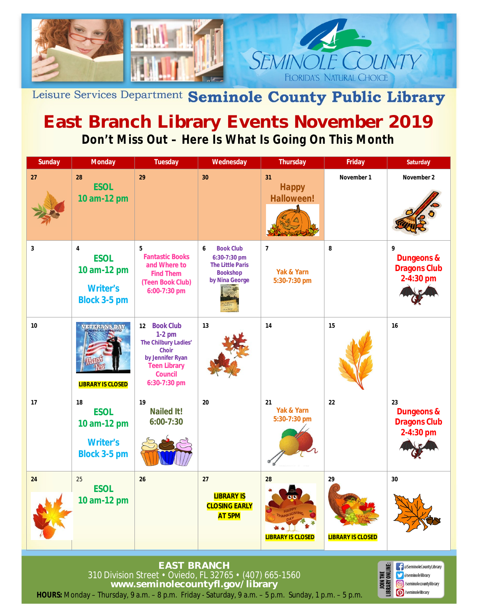

Leisure Services Department Seminole County Public Library

## **East Branch Library Events November 2019 Don't Miss Out – Here Is What Is Going On This Month**

| <b>Sunday</b> | <b>Monday</b>                                                                                   | <b>Tuesday</b>                                                                                                                                | Wednesday                                                                                             | <b>Thursday</b>                              | <b>Friday</b>                  | <b>Saturday</b>                                                 |
|---------------|-------------------------------------------------------------------------------------------------|-----------------------------------------------------------------------------------------------------------------------------------------------|-------------------------------------------------------------------------------------------------------|----------------------------------------------|--------------------------------|-----------------------------------------------------------------|
| 27            | 28<br><b>ESOL</b><br>10 am-12 pm                                                                | 29                                                                                                                                            | 30                                                                                                    | 31<br><b>Happy</b><br><b>Halloween!</b>      | November 1                     | November 2                                                      |
| $\mathbf{3}$  | $\overline{\mathbf{4}}$<br><b>ESOL</b><br>10 am-12 pm<br><b>Writer's</b><br><b>Block 3-5 pm</b> | 5<br><b>Fantastic Books</b><br>and Where to<br><b>Find Them</b><br>(Teen Book Club)<br>6:00-7:30 pm                                           | 6<br><b>Book Club</b><br>6:30-7:30 pm<br><b>The Little Paris</b><br><b>Bookshop</b><br>by Nina George | $\overline{7}$<br>Yak & Yarn<br>5:30-7:30 pm | 8                              | 9<br><b>Dungeons &amp;</b><br><b>Dragons Club</b><br>2-4:30 pm  |
| 10            | <b>VEIDRANS DAY</b><br><b>LIBRARY IS CLOSED</b>                                                 | 12 Book Club<br>$1-2$ pm<br>The Chilbury Ladies'<br><b>Choir</b><br>by Jennifer Ryan<br><b>Teen Library</b><br><b>Council</b><br>6:30-7:30 pm | 13                                                                                                    | 14                                           | 15                             | 16                                                              |
| 17            | 18<br><b>ESOL</b><br>10 am-12 pm<br><b>Writer's</b><br><b>Block 3-5 pm</b>                      | 19<br><b>Nailed It!</b><br>$6:00 - 7:30$                                                                                                      | 20                                                                                                    | 21<br>Yak & Yarn<br>5:30-7:30 pm             | 22                             | 23<br><b>Dungeons &amp;</b><br><b>Dragons Club</b><br>2-4:30 pm |
| 24            | 25<br><b>ESOL</b><br>10 am-12 pm                                                                | 26                                                                                                                                            | 27<br><b>LIBRARY IS</b><br><b>CLOSING EARLY</b><br><b>AT 5PM</b>                                      | 28<br><b>LIBRARY IS CLOSED</b>               | 29<br><b>LIBRARY IS CLOSED</b> | 30                                                              |

**HOURS:** Monday – Thursday, 9 a.m. – 8 p.m. Friday - Saturday, 9 a.m. – 5 p.m. Sunday, 1 p.m. – 5 p.m. **EAST BRANCH** 310 Division Street • Oviedo, FL 32765 • (407) 665-1560 **www.seminolecountyfl.gov/library**

**B** @SeminoleCountyLibrary

**S** @seminolelibrary Seminolecountylibrary

/seminolelibrary

<sub>붙음</sub>

**NB**